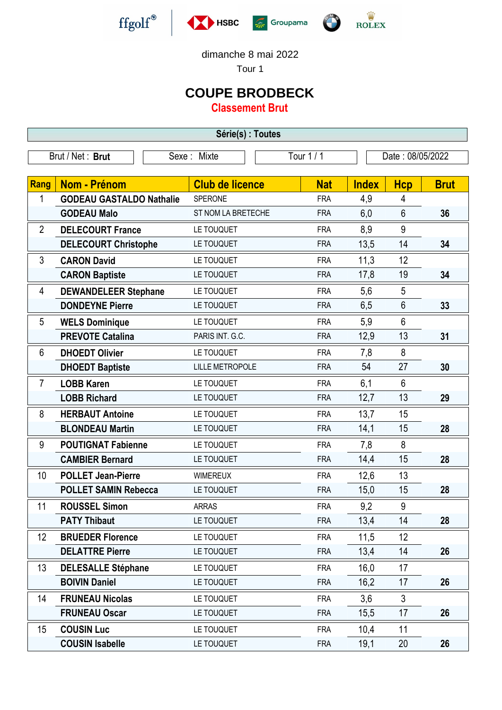







dimanche 8 mai 2022

Tour 1

## **COUPE BRODBECK**

**Classement Brut**

| Série(s) : Toutes |                                 |                        |            |                  |                  |             |  |
|-------------------|---------------------------------|------------------------|------------|------------------|------------------|-------------|--|
|                   | Brut / Net: Brut                | Sexe: Mixte            | Tour 1 / 1 | Date: 08/05/2022 |                  |             |  |
| <b>Rang</b>       | <b>Nom - Prénom</b>             | <b>Club de licence</b> | <b>Nat</b> | <b>Index</b>     | <b>Hcp</b>       | <b>Brut</b> |  |
| 1                 | <b>GODEAU GASTALDO Nathalie</b> | SPERONE                | <b>FRA</b> | 4,9              | 4                |             |  |
|                   | <b>GODEAU Malo</b>              | ST NOM LA BRETECHE     | <b>FRA</b> | 6,0              | $6\phantom{1}$   | 36          |  |
| $\overline{2}$    | <b>DELECOURT France</b>         | LE TOUQUET             | <b>FRA</b> | 8,9              | 9                |             |  |
|                   | <b>DELECOURT Christophe</b>     | LE TOUQUET             | <b>FRA</b> | 13,5             | 14               | 34          |  |
| 3                 | <b>CARON David</b>              | LE TOUQUET             | <b>FRA</b> | 11,3             | 12               |             |  |
|                   | <b>CARON Baptiste</b>           | LE TOUQUET             | <b>FRA</b> | 17,8             | 19               | 34          |  |
| 4                 | <b>DEWANDELEER Stephane</b>     | LE TOUQUET             | <b>FRA</b> | 5,6              | 5                |             |  |
|                   | <b>DONDEYNE Pierre</b>          | LE TOUQUET             | <b>FRA</b> | 6,5              | 6                | 33          |  |
| 5                 | <b>WELS Dominique</b>           | LE TOUQUET             | <b>FRA</b> | 5,9              | $6\phantom{1}$   |             |  |
|                   | <b>PREVOTE Catalina</b>         | PARIS INT. G.C.        | <b>FRA</b> | 12,9             | 13               | 31          |  |
| 6                 | <b>DHOEDT Olivier</b>           | LE TOUQUET             | <b>FRA</b> | 7,8              | 8                |             |  |
|                   | <b>DHOEDT Baptiste</b>          | <b>LILLE METROPOLE</b> | <b>FRA</b> | 54               | 27               | 30          |  |
| $\overline{7}$    | <b>LOBB Karen</b>               | LE TOUQUET             | <b>FRA</b> | 6,1              | 6                |             |  |
|                   | <b>LOBB Richard</b>             | LE TOUQUET             | <b>FRA</b> | 12,7             | 13               | 29          |  |
| 8                 | <b>HERBAUT Antoine</b>          | LE TOUQUET             | <b>FRA</b> | 13,7             | 15               |             |  |
|                   | <b>BLONDEAU Martin</b>          | LE TOUQUET             | <b>FRA</b> | 14,1             | 15               | 28          |  |
| 9                 | <b>POUTIGNAT Fabienne</b>       | LE TOUQUET             | <b>FRA</b> | 7,8              | 8                |             |  |
|                   | <b>CAMBIER Bernard</b>          | LE TOUQUET             | <b>FRA</b> | 14,4             | 15               | 28          |  |
| 10                | <b>POLLET Jean-Pierre</b>       | <b>WIMEREUX</b>        | <b>FRA</b> | 12,6             | 13               |             |  |
|                   | <b>POLLET SAMIN Rebecca</b>     | LE TOUQUET             | <b>FRA</b> | 15,0             | 15               | 28          |  |
| 11                | <b>ROUSSEL Simon</b>            | <b>ARRAS</b>           | <b>FRA</b> | 9,2              | $\boldsymbol{9}$ |             |  |
|                   | <b>PATY Thibaut</b>             | LE TOUQUET             | <b>FRA</b> | 13,4             | 14               | 28          |  |
| 12                | <b>BRUEDER Florence</b>         | LE TOUQUET             | <b>FRA</b> | 11,5             | 12               |             |  |
|                   | <b>DELATTRE Pierre</b>          | LE TOUQUET             | <b>FRA</b> | 13,4             | 14               | 26          |  |
| 13                | <b>DELESALLE Stéphane</b>       | LE TOUQUET             | <b>FRA</b> | 16,0             | 17               |             |  |
|                   | <b>BOIVIN Daniel</b>            | LE TOUQUET             | <b>FRA</b> | 16,2             | 17               | 26          |  |
| 14                | <b>FRUNEAU Nicolas</b>          | LE TOUQUET             | <b>FRA</b> | 3,6              | 3                |             |  |
|                   | <b>FRUNEAU Oscar</b>            | LE TOUQUET             | <b>FRA</b> | 15,5             | 17               | 26          |  |
| 15                | <b>COUSIN Luc</b>               | LE TOUQUET             | <b>FRA</b> | 10,4             | 11               |             |  |
|                   | <b>COUSIN Isabelle</b>          | LE TOUQUET             | <b>FRA</b> | 19,1             | 20               | 26          |  |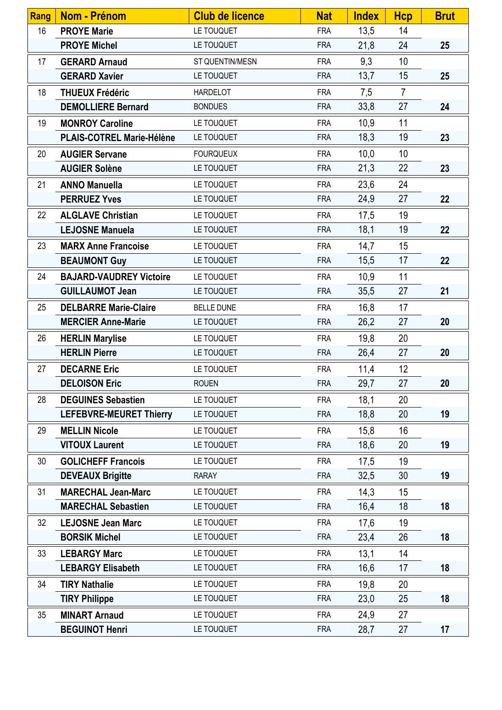| <b>Rang</b> | <b>Nom - Prénom</b>            | <b>Club de licence</b> | <b>Nat</b> | <b>Index</b> | <b>Hcp</b>     | <b>Brut</b> |
|-------------|--------------------------------|------------------------|------------|--------------|----------------|-------------|
| 16          | <b>PROYE Marie</b>             | LE TOUQUET             | <b>FRA</b> | 13,5         | 14             |             |
|             | <b>PROYE Michel</b>            | LE TOUQUET             | <b>FRA</b> | 21,8         | 24             | 25          |
| 17          | <b>GERARD Arnaud</b>           | ST QUENTIN/MESN        | <b>FRA</b> | 9,3          | 10             |             |
|             | <b>GERARD Xavier</b>           | LE TOUQUET             | <b>FRA</b> | 13,7         | 15             | 25          |
| 18          | <b>THUEUX Frédéric</b>         | <b>HARDELOT</b>        | <b>FRA</b> | 7,5          | $\overline{7}$ |             |
|             | <b>DEMOLLIERE Bernard</b>      | <b>BONDUES</b>         | <b>FRA</b> | 33,8         | 27             | 24          |
| 19          | <b>MONROY Caroline</b>         | LE TOUQUET             | <b>FRA</b> | 10,9         | 11             |             |
|             | PLAIS-COTREL Marie-Hélène      | LE TOUQUET             | <b>FRA</b> | 18,3         | 19             | 23          |
| 20          | <b>AUGIER Servane</b>          | <b>FOURQUEUX</b>       | <b>FRA</b> | 10,0         | 10             |             |
|             | <b>AUGIER Solène</b>           | LE TOUQUET             | <b>FRA</b> | 21,3         | 22             | 23          |
| 21          | <b>ANNO Manuella</b>           | LE TOUQUET             | <b>FRA</b> | 23,6         | 24             |             |
|             | <b>PERRUEZ Yves</b>            | LE TOUQUET             | <b>FRA</b> | 24,9         | 27             | 22          |
| 22          | <b>ALGLAVE Christian</b>       | LE TOUQUET             | <b>FRA</b> | 17,5         | 19             |             |
|             | <b>LEJOSNE Manuela</b>         | LE TOUQUET             | <b>FRA</b> | 18,1         | 19             | 22          |
| 23          | <b>MARX Anne Francoise</b>     | LE TOUQUET             | <b>FRA</b> | 14,7         | 15             |             |
|             | <b>BEAUMONT Guy</b>            | LE TOUQUET             | <b>FRA</b> | 15,5         | 17             | 22          |
| 24          | <b>BAJARD-VAUDREY Victoire</b> | LE TOUQUET             | <b>FRA</b> | 10,9         | 11             |             |
|             | <b>GUILLAUMOT Jean</b>         | LE TOUQUET             | <b>FRA</b> | 35,5         | 27             | 21          |
| 25          | <b>DELBARRE Marie-Claire</b>   | <b>BELLE DUNE</b>      | <b>FRA</b> | 16,8         | 17             |             |
|             | <b>MERCIER Anne-Marie</b>      | LE TOUQUET             | <b>FRA</b> | 26,2         | 27             | 20          |
| 26          | <b>HERLIN Marylise</b>         | LE TOUQUET             | <b>FRA</b> | 19,8         | 20             |             |
|             | <b>HERLIN Pierre</b>           | LE TOUQUET             | <b>FRA</b> | 26,4         | 27             | 20          |
| 27          | <b>DECARNE Eric</b>            | LE TOUQUET             | <b>FRA</b> | 11,4         | 12             |             |
|             | <b>DELOISON Eric</b>           | <b>ROUEN</b>           | <b>FRA</b> | 29,7         | 27             | 20          |
| 28          | <b>DEGUINES Sebastien</b>      | LE TOUQUET             | <b>FRA</b> | 18,1         | 20             |             |
|             | <b>LEFEBVRE-MEURET Thierry</b> | LE TOUQUET             | <b>FRA</b> | 18,8         | 20             | 19          |
| 29          | <b>MELLIN Nicole</b>           | LE TOUQUET             | <b>FRA</b> | 15,8         | 16             |             |
|             | <b>VITOUX Laurent</b>          | LE TOUQUET             | <b>FRA</b> | 18,6         | 20             | 19          |
| 30          | <b>GOLICHEFF Francois</b>      | LE TOUQUET             | <b>FRA</b> | 17,5         | 19             |             |
|             | <b>DEVEAUX Brigitte</b>        | <b>RARAY</b>           | <b>FRA</b> | 32,5         | 30             | 19          |
| 31          | <b>MARECHAL Jean-Marc</b>      | LE TOUQUET             | <b>FRA</b> | 14,3         | 15             |             |
|             | <b>MARECHAL Sebastien</b>      | LE TOUQUET             | <b>FRA</b> | 16,4         | 18             | 18          |
| 32          | <b>LEJOSNE Jean Marc</b>       | LE TOUQUET             | <b>FRA</b> | 17,6         | 19             |             |
|             | <b>BORSIK Michel</b>           | LE TOUQUET             | <b>FRA</b> | 23,4         | 26             | 18          |
| 33          | <b>LEBARGY Marc</b>            | LE TOUQUET             | <b>FRA</b> | 13,1         | 14             |             |
|             | <b>LEBARGY Elisabeth</b>       | LE TOUQUET             | <b>FRA</b> | 16,6         | 17             | 18          |
| 34          | <b>TIRY Nathalie</b>           | LE TOUQUET             | <b>FRA</b> | 19,8         | 20             |             |
|             | <b>TIRY Philippe</b>           | LE TOUQUET             | <b>FRA</b> | 23,0         | 25             | 18          |
| 35          | <b>MINART Arnaud</b>           | LE TOUQUET             | <b>FRA</b> | 24,9         | 27             |             |
|             | <b>BEGUINOT Henri</b>          | LE TOUQUET             | <b>FRA</b> | 28,7         | 27             | 17          |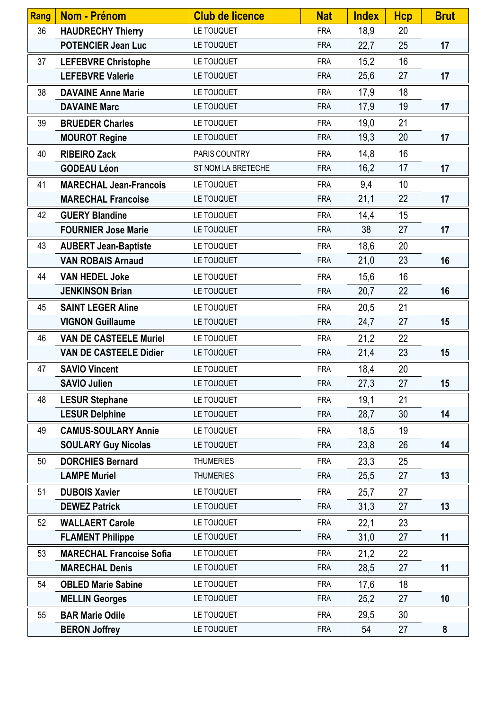| <b>Rang</b> | <b>Nom - Prénom</b>             | <b>Club de licence</b> | <b>Nat</b> | <b>Index</b> | <b>Hcp</b> | <b>Brut</b> |
|-------------|---------------------------------|------------------------|------------|--------------|------------|-------------|
| 36          | <b>HAUDRECHY Thierry</b>        | LE TOUQUET             | <b>FRA</b> | 18,9         | 20         |             |
|             | <b>POTENCIER Jean Luc</b>       | LE TOUQUET             | <b>FRA</b> | 22,7         | 25         | 17          |
| 37          | <b>LEFEBVRE Christophe</b>      | LE TOUQUET             | <b>FRA</b> | 15,2         | 16         |             |
|             | <b>LEFEBVRE Valerie</b>         | LE TOUQUET             | <b>FRA</b> | 25,6         | 27         | 17          |
| 38          | <b>DAVAINE Anne Marie</b>       | LE TOUQUET             | <b>FRA</b> | 17,9         | 18         |             |
|             | <b>DAVAINE Marc</b>             | LE TOUQUET             | <b>FRA</b> | 17,9         | 19         | 17          |
| 39          | <b>BRUEDER Charles</b>          | LE TOUQUET             | <b>FRA</b> | 19,0         | 21         |             |
|             | <b>MOUROT Regine</b>            | LE TOUQUET             | <b>FRA</b> | 19,3         | 20         | 17          |
| 40          | <b>RIBEIRO Zack</b>             | PARIS COUNTRY          | <b>FRA</b> | 14,8         | 16         |             |
|             | <b>GODEAU Léon</b>              | ST NOM LA BRETECHE     | <b>FRA</b> | 16,2         | 17         | 17          |
| 41          | <b>MARECHAL Jean-Francois</b>   | LE TOUQUET             | <b>FRA</b> | 9,4          | 10         |             |
|             | <b>MARECHAL Francoise</b>       | LE TOUQUET             | <b>FRA</b> | 21,1         | 22         | 17          |
| 42          | <b>GUERY Blandine</b>           | LE TOUQUET             | <b>FRA</b> | 14,4         | 15         |             |
|             | <b>FOURNIER Jose Marie</b>      | LE TOUQUET             | <b>FRA</b> | 38           | 27         | 17          |
| 43          | <b>AUBERT Jean-Baptiste</b>     | LE TOUQUET             | <b>FRA</b> | 18,6         | 20         |             |
|             | <b>VAN ROBAIS Arnaud</b>        | LE TOUQUET             | <b>FRA</b> | 21,0         | 23         | 16          |
| 44          | <b>VAN HEDEL Joke</b>           | LE TOUQUET             | <b>FRA</b> | 15,6         | 16         |             |
|             | <b>JENKINSON Brian</b>          | LE TOUQUET             | <b>FRA</b> | 20,7         | 22         | 16          |
| 45          | <b>SAINT LEGER Aline</b>        | LE TOUQUET             | <b>FRA</b> | 20,5         | 21         |             |
|             | <b>VIGNON Guillaume</b>         | LE TOUQUET             | <b>FRA</b> | 24,7         | 27         | 15          |
| 46          | <b>VAN DE CASTEELE Muriel</b>   | LE TOUQUET             | <b>FRA</b> | 21,2         | 22         |             |
|             | <b>VAN DE CASTEELE Didier</b>   | LE TOUQUET             | <b>FRA</b> | 21,4         | 23         | 15          |
| 47          | <b>SAVIO Vincent</b>            | LE TOUQUET             | <b>FRA</b> | 18,4         | 20         |             |
|             | <b>SAVIO Julien</b>             | LE TOUQUET             | <b>FRA</b> | 27,3         | 27         | 15          |
| 48          | <b>LESUR Stephane</b>           | LE TOUQUET             | <b>FRA</b> | 19,1         | 21         |             |
|             | <b>LESUR Delphine</b>           | LE TOUQUET             | <b>FRA</b> | 28,7         | 30         | 14          |
| 49          | <b>CAMUS-SOULARY Annie</b>      | LE TOUQUET             | <b>FRA</b> | 18,5         | 19         |             |
|             | <b>SOULARY Guy Nicolas</b>      | LE TOUQUET             | <b>FRA</b> | 23,8         | 26         | 14          |
| 50          | <b>DORCHIES Bernard</b>         | <b>THUMERIES</b>       | <b>FRA</b> | 23,3         | 25         |             |
|             | <b>LAMPE Muriel</b>             | <b>THUMERIES</b>       | <b>FRA</b> | 25,5         | 27         | 13          |
| 51          | <b>DUBOIS Xavier</b>            | LE TOUQUET             | <b>FRA</b> | 25,7         | 27         |             |
|             | <b>DEWEZ Patrick</b>            | LE TOUQUET             | <b>FRA</b> | 31,3         | 27         | 13          |
| 52          | <b>WALLAERT Carole</b>          | LE TOUQUET             | <b>FRA</b> | 22,1         | 23         |             |
|             | <b>FLAMENT Philippe</b>         | LE TOUQUET             | <b>FRA</b> | 31,0         | 27         | 11          |
| 53          | <b>MARECHAL Francoise Sofia</b> | LE TOUQUET             | <b>FRA</b> | 21,2         | 22         |             |
|             | <b>MARECHAL Denis</b>           | LE TOUQUET             | <b>FRA</b> | 28,5         | 27         | 11          |
| 54          | <b>OBLED Marie Sabine</b>       | LE TOUQUET             | <b>FRA</b> | 17,6         | 18         |             |
|             | <b>MELLIN Georges</b>           | LE TOUQUET             | <b>FRA</b> | 25,2         | 27         | 10          |
| 55          | <b>BAR Marie Odile</b>          | LE TOUQUET             | <b>FRA</b> | 29,5         | 30         |             |
|             | <b>BERON Joffrey</b>            | LE TOUQUET             | <b>FRA</b> | 54           | 27         | 8           |